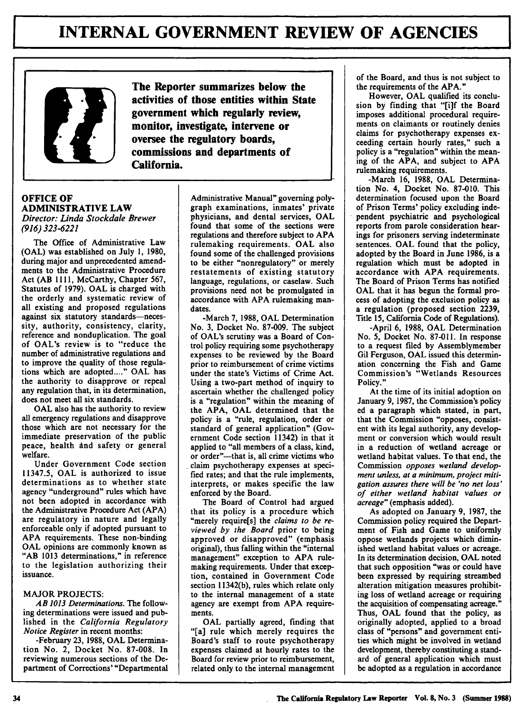

**OFFICE OF ADMINISTRATIVE LAW** *Director: Linda Stockdale Brewer (916) 323-6221*

The Office of Administrative Law **(OAL)** was established on July 1, **1980,** during major and unprecedented amendments to the Administrative Procedure Act (AB 1111, McCarthy, Chapter 567, Statutes of 1979). **OAL** is charged with the orderly and systematic review of all existing and proposed regulations against six statutory standards-necessity, authority, consistency, clarity, reference and nonduplication. The goal of OAL's review is to "reduce the number of administrative regulations and to improve the quality of those regulations which are adopted..... **OAL** has the authority to disapprove or repeal any regulation that, in its determination, does not meet all six standards.

**OAL** also has the authority to review all emergency regulations and disapprove those which are not necessary for the immediate preservation of the public peace, health and safety or general welfare.

Under Government Code section 11347.5, **OAL** is authorized to issue determinations as to whether state agency "underground" rules which have not been adopted in accordance with the Administrative Procedure Act (APA) are regulatory in nature and legally enforceable only if adopted pursuant to APA requirements. These non-binding **OAL** opinions are commonly known as "AB 1013 determinations," in reference to the legislation authorizing their issuance.

## **MAJOR PROJECTS:**

*AB 1013 Determinations.* The following determinations were issued and published in the *California Regulatory Notice Register* in recent months:

-February **23,** 1988, OAL Determination No. 2, Docket No. 87-008. In reviewing numerous sections of the Department of Corrections' "Departmental

**The Reporter summarizes below the activities of those entities within State government which regularly review, monitor, investigate, intervene or oversee the regulatory boards, commissions and departments of California.**

> Administrative Manual" governing polygraph examinations, inmates' private physicians, and dental services, **OAL** found that some of the sections were regulations and therefore subject to **APA** rulemaking requirements. **OAL** also found some of the challenged provisions to be either "nonregulatory" or merely restatements of existing statutory language, regulations, or caselaw. Such provisions need not be promulgated in accordance with **APA** rulemaking mandates.

> -March **7, 1988, OAL** Determination No. **3,** Docket No. **87-009.** The subject of OAL's scrutiny was a Board of Control policy requiring some psychotherapy expenses to be reviewed **by** the Board prior to reimbursement of crime victims under the state's Victims of Crime Act. Using a two-part method of inquiry to ascertain whether the challenged policy is a "regulation" within the meaning of the **APA, OAL** determined that the policy is a "rule, regulation, order or standard of general application" (Government Code section 11342) in that it applied to "all members of a class, kind, or order"-that is, all crime victims who claim psychotherapy expenses at specified rates; and that the rule implements, interprets, or makes specific the law enforced **by** the Board.

> The Board of Control had argued<br>that its policy is a procedure which "merely require[s] the *claims to be reviewed by the Board* prior to being approved or disapproved" (emphasis original), thus falling within the "internal management" exception to **APA** rulemaking requirements. Under that exception, contained in Government Code section 11342(b), rules which relate only to the internal management of a state agency are exempt from **APA** requirements.

**OAL** partially agreed, finding that "[a] rule which merely requires the Board's staff to route psychotherapy expenses claimed at hourly rates to the Board for review prior to reimbursement, related only to the internal management of the Board, and thus is not subject to the requirements of the **APA."**

However, **OAL** qualified its conclusion **by** finding that "[i]f the Board imposes additional procedural requirements on claimants or routinely denies claims for psychotherapy expenses exceeding certain hourly rates," such a policy is a "regulation" within the meaning of the **APA,** and subject to **APA** rulemaking requirements.

-March **16, 1988, OAL** Determination No. 4, Docket No. **87-010.** This determination focused upon the Board of Prison Terms' policy excluding independent psychiatric and psychological reports from parole consideration hearings for prisoners serving indeterminate sentences. **OAL** found that the policy, adopted **by** the Board in June **1986,** is a regulation which must be adopted in accordance with **APA** requirements. The Board of Prison Terms has notified **OAL** that it has begun the formal process of adopting the exclusion policy as a regulation (proposed section **2239,** Title **15,** California Code of Regulations).

-April **6, 1988, OAL** Determination No. **5,** Docket No. **87-011.** In response to a request filed **by** Assemblymember **Gil** Ferguson, **OAL** issued this determination concerning the Fish and Game Commission's "Wetlands Resources Policy."

At the time of its initial adoption on January **9, 1987,** the Commission's policy ed a paragraph which stated, in part, that the Commission "opposes, consistent with its legal authority, any development or conversion which would result in a reduction of wetland acreage or wetland habitat values. To that end, the Commission *opposes wetland development unless, at a minimum, project mitigation assures there will be 'no net loss' of either wetland habitat values or acreage"* (emphasis added).

As adopted on January **9, 1987,** the Commission policy required the Department of Fish and Game to uniformly oppose wetlands projects which diminished wetland habitat values or acreage. In its determination decision, **OAL** noted that such opposition "was or could have been expressed **by** requiring streambed alteration mitigation measures prohibiting loss of wetland acreage or requiring the acquisition of compensating acreage." Thus, **OAL** found that the policy, as originally adopted, applied to a broad class of "persons" and government entities which might be involved in wetland development, thereby constituting a standard of general application which must be adopted as a regulation in accordance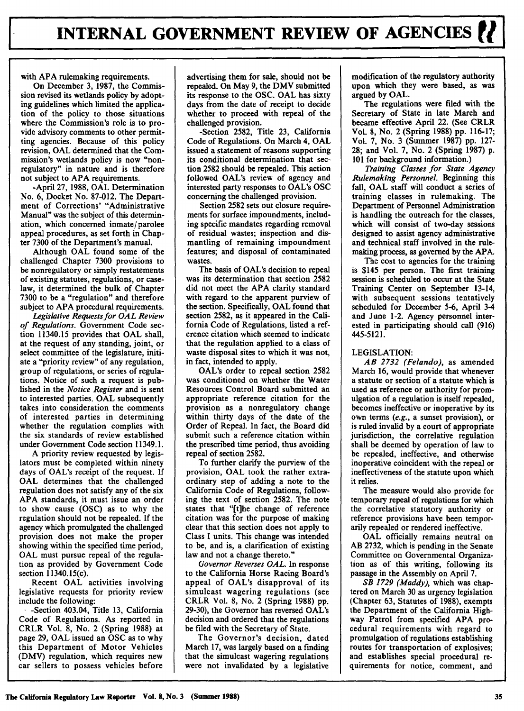with **APA** rulemaking requirements.

On December **3, 1987,** the Commission revised its wetlands policy **by** adopting guidelines which limited the application of the policy to those situations where the Commission's role is to provide advisory comments to other permitting agencies. Because of this policy revision, **OAL** determined that the Commission's wetlands policy is now "nonregulatory" in nature and is therefore not subject to **APA** requirements.

-April **27, 1988, OAL** Determination No. **6,** Docket No. **87-012.** The Department of Corrections' "Administrative Manual" was the subject of this determination, which concerned inmate/ parolee appeal procedures, as set forth in Chapter 7300 of the Department's manual.

Although **OAL** found some of the challenged Chapter 7300 provisions to be nonregulatory or simply restatements of existing statutes, regulations, or caselaw, it determined the bulk of Chapter 7300 to be a "regulation" and therefore subject to APA procedural requirements.

*Legislative Requests for OAL Review of Regulations.* Government Code section 11340.15 provides that **OAL** shall, at the request of any standing, joint, or select committee of the legislature, initiate a "priority review" of any regulation, group of regulations, or series of regulations. Notice of such a request is published in the *Notice Register* and is sent to interested parties. **OAL** subsequently takes into consideration the comments of interested parties in determining whether the regulation complies with the six standards of review established under Government Code section 11349.1.

**A** priority review requested **by** legislators must be completed within ninety days of OAL's receipt of the request. **If OAL** determines that the challenged regulation does not satisfy any of the six **APA** standards, it must issue an order to show cause **(OSC)** as to why the regulation should not be repealed. If the agency which promulgated the challenged provision does not make the proper showing within the specified time period, **OAL** must pursue repeal of the regulation as provided **by** Government Code section 11340.15(c).

Recent **OAL** activities involving legislative requests for priority review include the following:

**.** -Section 403.04, Title **13,** California Code of Regulations. As reported in CRLR Vol. **8,** No. 2 (Spring **1988)** at page **29, OAL** issued an **OSC** as to why this Department of Motor Vehicles (DMV) regulation, which requires new car sellers to possess vehicles before

advertising them for sale, should not be repealed. On May **9,** the DMV submitted its response to the **OSC. OAL** has sixty days from the date of receipt to decide whether to proceed with repeal of the challenged provision.

-Section **2582,** Title **23,** California Code of Regulations. On March 4, **OAL** issued a statement of reasons supporting its conditional determination that section **2582** should be repealed. This action followed OAL's review of agency and interested party responses to OAL's **OSC** concerning the challenged provision.

Section **2582** sets out closure requirements for surface impoundments, including specific mandates regarding removal of residual wastes; inspection and dismantling of remaining impoundment features; and disposal of contaminated wastes.

The basis of OAL's decision to repeal was its determination that section 2582 did not meet the **APA** clarity standard with regard to the apparent purview of the section. Specifically, **OAL** found that section 2582, as it appeared in the California Code of Regulations, listed a reference citation which seemed to indicate that the regulation applied to a class of waste disposal sites to which it was not, in fact, intended to apply.

OAL's order to repeal section 2582 was conditioned on whether the Water Resources Control Board submitted an appropriate reference citation for the provision as a nonregulatory change within thirty days of the date of the Order of Repeal. In fact, the Board did submit such a reference citation within the prescribed time period, thus avoiding repeal of section **2582.**

To further clarify the purview of the provision, **OAL** took the rather extraordinary step of adding a note to the California Code of Regulations, following the text of section **2582.** The note states that "[t]he change of reference citation was for the purpose of making clear that this section does not apply to Class **I** units. This change was intended to be, and is, a clarification of existing law and not a change thereto."

*Governor Reverses* **OAL.** In response to the California Horse Racing Board's appeal of OAL's disapproval of its simulcast wagering regulations (see CRLR Vol. **8,** No. 2 (Spring **1988) pp. 29-30),** the Governor has reversed OAL's decision and ordered that the regulations be filed with the Secretary of State.

The Governor's decision, dated March **17,** was largely based on a finding that the simulcast wagering regulations were not invalidated **by** a legislative

modification of the regulatory authority upon which they were based, as was argued **by OAL.**

The regulations were filed with the Secretary of State in late March and became effective April 22. (See CRLR Vol. **8,** No. 2 (Spring **1988) pp. 116-17;** Vol. **7,** No. **3** (Summer **1987) pp. 127- 28;** and Vol. **7,** No. 2 (Spring **1987) p. 101** for background information.)

*Training Classes for State Agency Rulemaking Personnel.* Beginning this fall, **OAL** staff will conduct a series of training classes in rulemaking. The Department of Personnel Administration is handling the outreach for the classes, which will consist of two-day sessions designed to assist agency administrative and technical staff involved in the rulemaking process, as governed **by** the APA.

The cost to agencies for the training is \$145 per person. The first training session is scheduled to occur at the State Training Center on September 13-14, with subsequent sessions tentatively scheduled for December 5-6, April **3-4** and June 1-2. Agency personnel interested in participating should call **(916)** 445-5121.

# LEGISLATION:

*AB 2732 (Felando),* as amended March 16, would provide that whenever a statute or section of a statute which is used as reference or authority for promulgation of a regulation is itself repealed, becomes ineffective or inoperative **by** its own terms *(e.g.,* a sunset provision), or is ruled invalid **by** a court of appropriate jurisdiction, the correlative regulation shall **be** deemed **by** operation of law to be repealed, ineffective, and otherwise inoperative coincident with the repeal or ineffectiveness of the statute upon which it relies.

The measure would also provide for temporary repeal of regulations for which the correlative statutory authority or reference provisions have been temporarily repealed or rendered ineffective.

OAL officially remains neutral on AB **2732,** which is pending in the Senate Committee on Governmental Organization as of this writing, following its passage in the Assembly on April **7.**

*SB 1729 (Maddy),* which was chaptered on March **30** as urgency legislation (Chapter **63,** Statutes of **1988),** exempts the Department of the California Highway Patrol from specified APA procedural requirements with regard to promulgation of regulations establishing routes for transportation of explosives; and establishes special procedural requirements for notice, comment, and